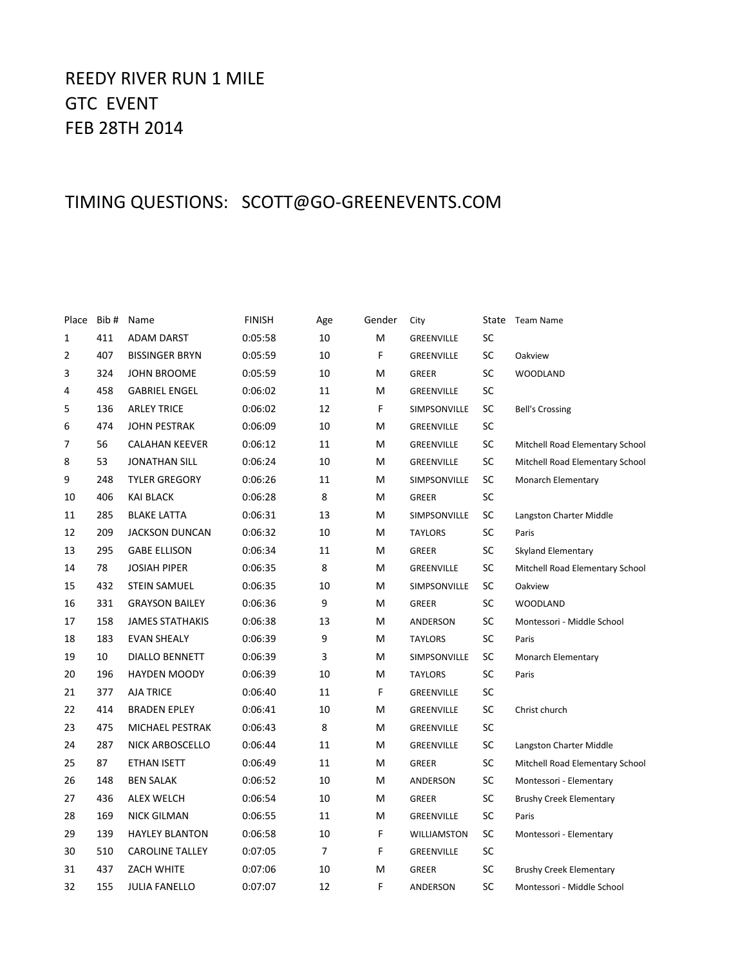# REEDY RIVER RUN 1 MILE GTC EVENT FEB 28TH 2014

## TIMING QUESTIONS: SCOTT@GO-GREENEVENTS.COM

| Place | Bib# | Name                   | <b>FINISH</b> | Age            | Gender | City           | State | <b>Team Name</b>                |
|-------|------|------------------------|---------------|----------------|--------|----------------|-------|---------------------------------|
| 1     | 411  | <b>ADAM DARST</b>      | 0:05:58       | 10             | M      | GREENVILLE     | SC    |                                 |
| 2     | 407  | <b>BISSINGER BRYN</b>  | 0:05:59       | 10             | F      | GREENVILLE     | SC    | Oakview                         |
| 3     | 324  | <b>JOHN BROOME</b>     | 0:05:59       | 10             | M      | <b>GREER</b>   | SC    | <b>WOODLAND</b>                 |
| 4     | 458  | <b>GABRIEL ENGEL</b>   | 0:06:02       | 11             | M      | GREENVILLE     | SC    |                                 |
| 5     | 136  | <b>ARLEY TRICE</b>     | 0:06:02       | 12             | F      | SIMPSONVILLE   | SC    | <b>Bell's Crossing</b>          |
| 6     | 474  | <b>JOHN PESTRAK</b>    | 0:06:09       | 10             | Μ      | GREENVILLE     | SC    |                                 |
| 7     | 56   | <b>CALAHAN KEEVER</b>  | 0:06:12       | 11             | M      | GREENVILLE     | SC    | Mitchell Road Elementary School |
| 8     | 53   | <b>JONATHAN SILL</b>   | 0:06:24       | 10             | M      | GREENVILLE     | SC    | Mitchell Road Elementary School |
| 9     | 248  | <b>TYLER GREGORY</b>   | 0:06:26       | 11             | M      | SIMPSONVILLE   | SC    | Monarch Elementary              |
| 10    | 406  | <b>KAI BLACK</b>       | 0:06:28       | 8              | м      | <b>GREER</b>   | SC    |                                 |
| 11    | 285  | <b>BLAKE LATTA</b>     | 0:06:31       | 13             | M      | SIMPSONVILLE   | SC    | Langston Charter Middle         |
| 12    | 209  | <b>JACKSON DUNCAN</b>  | 0:06:32       | 10             | Μ      | <b>TAYLORS</b> | SC    | Paris                           |
| 13    | 295  | <b>GABE ELLISON</b>    | 0:06:34       | 11             | Μ      | GREER          | SC    | Skyland Elementary              |
| 14    | 78   | <b>JOSIAH PIPER</b>    | 0:06:35       | 8              | м      | GREENVILLE     | SC    | Mitchell Road Elementary School |
| 15    | 432  | <b>STEIN SAMUEL</b>    | 0:06:35       | 10             | M      | SIMPSONVILLE   | SC    | Oakview                         |
| 16    | 331  | <b>GRAYSON BAILEY</b>  | 0:06:36       | 9              | Μ      | <b>GREER</b>   | SC    | <b>WOODLAND</b>                 |
| 17    | 158  | <b>JAMES STATHAKIS</b> | 0:06:38       | 13             | M      | ANDERSON       | SC    | Montessori - Middle School      |
| 18    | 183  | <b>EVAN SHEALY</b>     | 0:06:39       | 9              | M      | <b>TAYLORS</b> | SC    | Paris                           |
| 19    | 10   | <b>DIALLO BENNETT</b>  | 0:06:39       | 3              | M      | SIMPSONVILLE   | SC    | <b>Monarch Elementary</b>       |
| 20    | 196  | <b>HAYDEN MOODY</b>    | 0:06:39       | 10             | M      | <b>TAYLORS</b> | SC    | Paris                           |
| 21    | 377  | <b>AJA TRICE</b>       | 0:06:40       | 11             | F      | GREENVILLE     | SC    |                                 |
| 22    | 414  | <b>BRADEN EPLEY</b>    | 0:06:41       | 10             | M      | GREENVILLE     | SC    | Christ church                   |
| 23    | 475  | MICHAEL PESTRAK        | 0:06:43       | 8              | M      | GREENVILLE     | SC    |                                 |
| 24    | 287  | NICK ARBOSCELLO        | 0:06:44       | 11             | M      | GREENVILLE     | SC    | Langston Charter Middle         |
| 25    | 87   | <b>ETHAN ISETT</b>     | 0:06:49       | 11             | M      | <b>GREER</b>   | SC    | Mitchell Road Elementary School |
| 26    | 148  | <b>BEN SALAK</b>       | 0:06:52       | 10             | Μ      | ANDERSON       | SC    | Montessori - Elementary         |
| 27    | 436  | <b>ALEX WELCH</b>      | 0:06:54       | 10             | Μ      | GREER          | SC    | <b>Brushy Creek Elementary</b>  |
| 28    | 169  | <b>NICK GILMAN</b>     | 0:06:55       | 11             | Μ      | GREENVILLE     | SC    | Paris                           |
| 29    | 139  | <b>HAYLEY BLANTON</b>  | 0:06:58       | 10             | F      | WILLIAMSTON    | SC    | Montessori - Elementary         |
| 30    | 510  | <b>CAROLINE TALLEY</b> | 0:07:05       | $\overline{7}$ | F      | GREENVILLE     | SC    |                                 |
| 31    | 437  | <b>ZACH WHITE</b>      | 0:07:06       | 10             | Μ      | <b>GREER</b>   | SC    | <b>Brushy Creek Elementary</b>  |
| 32    | 155  | <b>JULIA FANELLO</b>   | 0:07:07       | 12             | F      | ANDERSON       | SC    | Montessori - Middle School      |
|       |      |                        |               |                |        |                |       |                                 |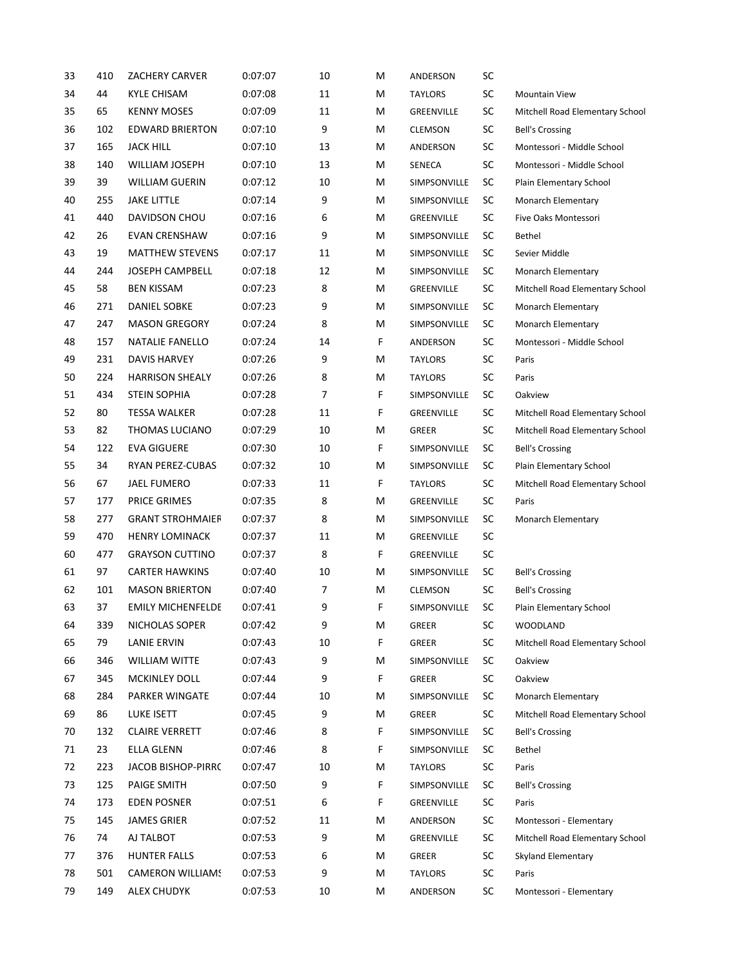| 33 | 410 | <b>ZACHERY CARVER</b>    | 0:07:07 | 10 | M | ANDERSON       | SC        |                                 |
|----|-----|--------------------------|---------|----|---|----------------|-----------|---------------------------------|
| 34 | 44  | <b>KYLE CHISAM</b>       | 0:07:08 | 11 | M | <b>TAYLORS</b> | SC        | <b>Mountain View</b>            |
| 35 | 65  | <b>KENNY MOSES</b>       | 0:07:09 | 11 | M | GREENVILLE     | SC        | Mitchell Road Elementary School |
| 36 | 102 | <b>EDWARD BRIERTON</b>   | 0:07:10 | 9  | м | <b>CLEMSON</b> | SC        | <b>Bell's Crossing</b>          |
| 37 | 165 | <b>JACK HILL</b>         | 0:07:10 | 13 | M | ANDERSON       | SC        | Montessori - Middle School      |
| 38 | 140 | <b>WILLIAM JOSEPH</b>    | 0:07:10 | 13 | M | SENECA         | SC        | Montessori - Middle School      |
| 39 | 39  | <b>WILLIAM GUERIN</b>    | 0:07:12 | 10 | м | SIMPSONVILLE   | SC        | Plain Elementary School         |
| 40 | 255 | <b>JAKE LITTLE</b>       | 0:07:14 | 9  | м | SIMPSONVILLE   | SC        | Monarch Elementary              |
| 41 | 440 | DAVIDSON CHOU            | 0:07:16 | 6  | M | GREENVILLE     | SC        | Five Oaks Montessori            |
| 42 | 26  | <b>EVAN CRENSHAW</b>     | 0:07:16 | 9  | M | SIMPSONVILLE   | SC        | <b>Bethel</b>                   |
| 43 | 19  | <b>MATTHEW STEVENS</b>   | 0:07:17 | 11 | M | SIMPSONVILLE   | <b>SC</b> | Sevier Middle                   |
| 44 | 244 | <b>JOSEPH CAMPBELL</b>   | 0:07:18 | 12 | M | SIMPSONVILLE   | SC        | Monarch Elementary              |
| 45 | 58  | <b>BEN KISSAM</b>        | 0:07:23 | 8  | M | GREENVILLE     | SC        | Mitchell Road Elementary School |
| 46 | 271 | DANIEL SOBKE             | 0:07:23 | 9  | M | SIMPSONVILLE   | SC        | Monarch Elementary              |
| 47 | 247 | <b>MASON GREGORY</b>     | 0:07:24 | 8  | M | SIMPSONVILLE   | SC        | Monarch Elementary              |
| 48 | 157 | NATALIE FANELLO          | 0:07:24 | 14 | F | ANDERSON       | SC        | Montessori - Middle School      |
| 49 | 231 | <b>DAVIS HARVEY</b>      | 0:07:26 | 9  | M | <b>TAYLORS</b> | SC        | Paris                           |
| 50 | 224 | <b>HARRISON SHEALY</b>   | 0:07:26 | 8  | M | <b>TAYLORS</b> | SC        | Paris                           |
| 51 | 434 | <b>STEIN SOPHIA</b>      | 0:07:28 | 7  | F | SIMPSONVILLE   | SC        | Oakview                         |
| 52 | 80  | <b>TESSA WALKER</b>      | 0:07:28 | 11 | F | GREENVILLE     | SC        | Mitchell Road Elementary School |
| 53 | 82  | THOMAS LUCIANO           | 0:07:29 | 10 | M | <b>GREER</b>   | SC        | Mitchell Road Elementary School |
| 54 | 122 | <b>EVA GIGUERE</b>       | 0:07:30 | 10 | F | SIMPSONVILLE   | SC        | <b>Bell's Crossing</b>          |
| 55 | 34  | RYAN PEREZ-CUBAS         | 0:07:32 | 10 | M | SIMPSONVILLE   | SC        | Plain Elementary School         |
| 56 | 67  | JAEL FUMERO              | 0:07:33 | 11 | F | <b>TAYLORS</b> | SC        | Mitchell Road Elementary School |
| 57 | 177 | <b>PRICE GRIMES</b>      | 0:07:35 | 8  | M | GREENVILLE     | SC        | Paris                           |
| 58 | 277 | <b>GRANT STROHMAIER</b>  | 0:07:37 | 8  | M | SIMPSONVILLE   | SC        | Monarch Elementary              |
| 59 | 470 | <b>HENRY LOMINACK</b>    | 0:07:37 | 11 | M | GREENVILLE     | SC        |                                 |
| 60 | 477 | <b>GRAYSON CUTTINO</b>   | 0:07:37 | 8  | F | GREENVILLE     | SC        |                                 |
| 61 | 97  | <b>CARTER HAWKINS</b>    | 0:07:40 | 10 | M | SIMPSONVILLE   | SC        | <b>Bell's Crossing</b>          |
| 62 | 101 | <b>MASON BRIERTON</b>    | 0:07:40 | 7  | M | <b>CLEMSON</b> | SC        | <b>Bell's Crossing</b>          |
| 63 | 37  | <b>EMILY MICHENFELDE</b> | 0:07:41 | 9  | F | SIMPSONVILLE   | SC        | Plain Elementary School         |
| 64 | 339 | NICHOLAS SOPER           | 0:07:42 | 9  | М | GREER          | SC        | <b>WOODLAND</b>                 |
| 65 | 79  | <b>LANIE ERVIN</b>       | 0:07:43 | 10 | F | GREER          | SC        | Mitchell Road Elementary School |
| 66 | 346 | WILLIAM WITTE            | 0:07:43 | 9  | M | SIMPSONVILLE   | <b>SC</b> | Oakview                         |
| 67 | 345 | MCKINLEY DOLL            | 0:07:44 | 9  | F | GREER          | SC        | Oakview                         |
| 68 | 284 | PARKER WINGATE           | 0:07:44 | 10 | M | SIMPSONVILLE   | <b>SC</b> | Monarch Elementary              |
| 69 | 86  | LUKE ISETT               | 0:07:45 | 9  | M | GREER          | SC        | Mitchell Road Elementary School |
| 70 | 132 | <b>CLAIRE VERRETT</b>    | 0:07:46 | 8  | F | SIMPSONVILLE   | SC        | <b>Bell's Crossing</b>          |
| 71 | 23  | ELLA GLENN               | 0:07:46 | 8  | F | SIMPSONVILLE   | <b>SC</b> | Bethel                          |
| 72 | 223 | JACOB BISHOP-PIRRC       | 0:07:47 | 10 | M | <b>TAYLORS</b> | SC        | Paris                           |
| 73 | 125 | <b>PAIGE SMITH</b>       | 0:07:50 | 9  | F | SIMPSONVILLE   | SC        | <b>Bell's Crossing</b>          |
| 74 | 173 | EDEN POSNER              | 0:07:51 | 6  | F | GREENVILLE     | SC        | Paris                           |
| 75 | 145 | <b>JAMES GRIER</b>       | 0:07:52 | 11 | M | ANDERSON       | SC        | Montessori - Elementary         |
| 76 | 74  | AJ TALBOT                | 0:07:53 | 9  | M | GREENVILLE     | <b>SC</b> | Mitchell Road Elementary School |
| 77 | 376 | <b>HUNTER FALLS</b>      | 0:07:53 | 6  | M | <b>GREER</b>   | SC        | Skyland Elementary              |
| 78 | 501 | <b>CAMERON WILLIAMS</b>  | 0:07:53 | 9  | м | <b>TAYLORS</b> | SC        | Paris                           |
| 79 | 149 | <b>ALEX CHUDYK</b>       | 0:07:53 | 10 | M | ANDERSON       | SC        | Montessori - Elementary         |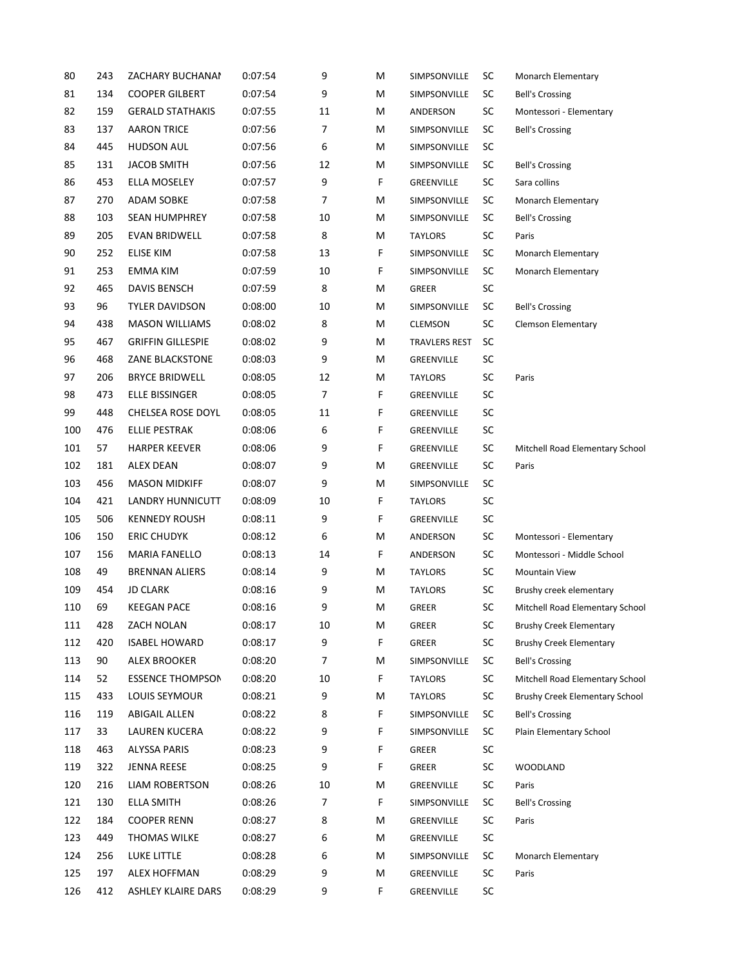| 80  | 243 | ZACHARY BUCHANAI         | 0:07:54 | 9  | M | SIMPSONVILLE         | SC        | Monarch Elementary              |
|-----|-----|--------------------------|---------|----|---|----------------------|-----------|---------------------------------|
| 81  | 134 | <b>COOPER GILBERT</b>    | 0:07:54 | 9  | M | SIMPSONVILLE         | SC        | <b>Bell's Crossing</b>          |
| 82  | 159 | <b>GERALD STATHAKIS</b>  | 0:07:55 | 11 | M | ANDERSON             | SC        | Montessori - Elementary         |
| 83  | 137 | <b>AARON TRICE</b>       | 0:07:56 | 7  | M | SIMPSONVILLE         | SC        | <b>Bell's Crossing</b>          |
| 84  | 445 | <b>HUDSON AUL</b>        | 0:07:56 | 6  | M | SIMPSONVILLE         | SC        |                                 |
| 85  | 131 | <b>JACOB SMITH</b>       | 0:07:56 | 12 | M | SIMPSONVILLE         | <b>SC</b> | <b>Bell's Crossing</b>          |
| 86  | 453 | ELLA MOSELEY             | 0:07:57 | 9  | F | GREENVILLE           | SC        | Sara collins                    |
| 87  | 270 | <b>ADAM SOBKE</b>        | 0:07:58 | 7  | M | SIMPSONVILLE         | SC        | Monarch Elementary              |
| 88  | 103 | <b>SEAN HUMPHREY</b>     | 0:07:58 | 10 | M | SIMPSONVILLE         | SC        | <b>Bell's Crossing</b>          |
| 89  | 205 | <b>EVAN BRIDWELL</b>     | 0:07:58 | 8  | M | <b>TAYLORS</b>       | SC        | Paris                           |
| 90  | 252 | ELISE KIM                | 0:07:58 | 13 | F | SIMPSONVILLE         | SC        | Monarch Elementary              |
| 91  | 253 | EMMA KIM                 | 0:07:59 | 10 | F | SIMPSONVILLE         | SC        | Monarch Elementary              |
| 92  | 465 | DAVIS BENSCH             | 0:07:59 | 8  | M | GREER                | SC        |                                 |
| 93  | 96  | TYLER DAVIDSON           | 0:08:00 | 10 | M | SIMPSONVILLE         | SC        | <b>Bell's Crossing</b>          |
| 94  | 438 | <b>MASON WILLIAMS</b>    | 0:08:02 | 8  | M | <b>CLEMSON</b>       | SC        | <b>Clemson Elementary</b>       |
| 95  | 467 | <b>GRIFFIN GILLESPIE</b> | 0:08:02 | 9  | M | <b>TRAVLERS REST</b> | SC        |                                 |
| 96  | 468 | ZANE BLACKSTONE          | 0:08:03 | 9  | M | GREENVILLE           | SC        |                                 |
| 97  | 206 | <b>BRYCE BRIDWELL</b>    | 0:08:05 | 12 | M | <b>TAYLORS</b>       | SC        | Paris                           |
| 98  | 473 | ELLE BISSINGER           | 0:08:05 | 7  | F | GREENVILLE           | SC        |                                 |
| 99  | 448 | CHELSEA ROSE DOYL        | 0:08:05 | 11 | F | GREENVILLE           | SC        |                                 |
| 100 | 476 | <b>ELLIE PESTRAK</b>     | 0:08:06 | 6  | F | GREENVILLE           | SC        |                                 |
| 101 | 57  | <b>HARPER KEEVER</b>     | 0:08:06 | 9  | F | GREENVILLE           | SC        | Mitchell Road Elementary School |
| 102 | 181 | ALEX DEAN                | 0:08:07 | 9  | M | GREENVILLE           | SC        | Paris                           |
| 103 | 456 | <b>MASON MIDKIFF</b>     | 0:08:07 | 9  | M | SIMPSONVILLE         | SC        |                                 |
| 104 | 421 | LANDRY HUNNICUTT         | 0:08:09 | 10 | F | <b>TAYLORS</b>       | SC        |                                 |
| 105 | 506 | <b>KENNEDY ROUSH</b>     | 0:08:11 | 9  | F | GREENVILLE           | SC        |                                 |
| 106 | 150 | <b>ERIC CHUDYK</b>       | 0:08:12 | 6  | M | ANDERSON             | SC        | Montessori - Elementary         |
| 107 | 156 | <b>MARIA FANELLO</b>     | 0:08:13 | 14 | F | ANDERSON             | SC        | Montessori - Middle School      |
| 108 | 49  | <b>BRENNAN ALIERS</b>    | 0:08:14 | 9  | M | <b>TAYLORS</b>       | SC        | <b>Mountain View</b>            |
| 109 | 454 | <b>JD CLARK</b>          | 0:08:16 | 9  | M | <b>TAYLORS</b>       | SC        | Brushy creek elementary         |
| 110 | 69  | <b>KEEGAN PACE</b>       | 0:08:16 | 9  | M | <b>GREER</b>         | SC        | Mitchell Road Elementary School |
| 111 | 428 | ZACH NOLAN               | 0:08:17 | 10 | M | GREER                | SC        | <b>Brushy Creek Elementary</b>  |
| 112 | 420 | <b>ISABEL HOWARD</b>     | 0:08:17 | 9  | F | GREER                | SC        | <b>Brushy Creek Elementary</b>  |
| 113 | 90  | <b>ALEX BROOKER</b>      | 0:08:20 | 7  | M | SIMPSONVILLE         | SC        | <b>Bell's Crossing</b>          |
| 114 | 52  | <b>ESSENCE THOMPSON</b>  | 0:08:20 | 10 | F | <b>TAYLORS</b>       | SC        | Mitchell Road Elementary School |
| 115 | 433 | LOUIS SEYMOUR            | 0:08:21 | 9  | M | <b>TAYLORS</b>       | SC        | Brushy Creek Elementary School  |
| 116 | 119 | <b>ABIGAIL ALLEN</b>     | 0:08:22 | 8  | F | SIMPSONVILLE         | SC        | <b>Bell's Crossing</b>          |
| 117 | 33  | LAUREN KUCERA            | 0:08:22 | 9  | F | SIMPSONVILLE         | SC        | Plain Elementary School         |
| 118 | 463 | <b>ALYSSA PARIS</b>      | 0:08:23 | 9  | F | GREER                | <b>SC</b> |                                 |
| 119 | 322 | <b>JENNA REESE</b>       | 0:08:25 | 9  | F | GREER                | SC        | <b>WOODLAND</b>                 |
| 120 | 216 | LIAM ROBERTSON           | 0:08:26 | 10 | M | GREENVILLE           | SC        | Paris                           |
| 121 | 130 | <b>ELLA SMITH</b>        | 0:08:26 | 7  | F | SIMPSONVILLE         | SC        | <b>Bell's Crossing</b>          |
| 122 | 184 | <b>COOPER RENN</b>       | 0:08:27 | 8  | M | GREENVILLE           | SC        | Paris                           |
| 123 | 449 | <b>THOMAS WILKE</b>      | 0:08:27 | 6  | M | GREENVILLE           | SC        |                                 |
| 124 | 256 | LUKE LITTLE              | 0:08:28 | 6  | M | SIMPSONVILLE         | SC        | Monarch Elementary              |
| 125 | 197 | <b>ALEX HOFFMAN</b>      | 0:08:29 | 9  | M | GREENVILLE           | SC        | Paris                           |
| 126 | 412 | ASHLEY KLAIRE DARS       | 0:08:29 | 9  | F | GREENVILLE           | SC        |                                 |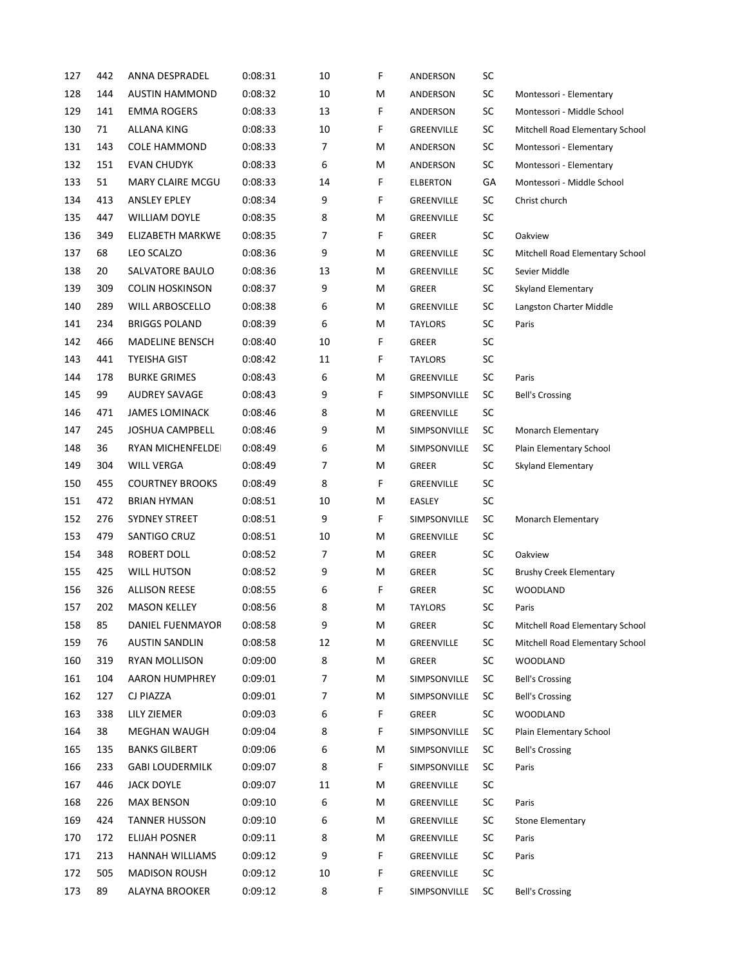| 127 | 442 | ANNA DESPRADEL          | 0:08:31 | 10 | F | ANDERSON        | SC         |                                 |
|-----|-----|-------------------------|---------|----|---|-----------------|------------|---------------------------------|
| 128 | 144 | <b>AUSTIN HAMMOND</b>   | 0:08:32 | 10 | M | ANDERSON        | SC         | Montessori - Elementary         |
| 129 | 141 | EMMA ROGERS             | 0:08:33 | 13 | F | ANDERSON        | SC         | Montessori - Middle School      |
| 130 | 71  | ALLANA KING             | 0:08:33 | 10 | F | GREENVILLE      | SC         | Mitchell Road Elementary School |
| 131 | 143 | <b>COLE HAMMOND</b>     | 0:08:33 | 7  | M | ANDERSON        | SC         | Montessori - Elementary         |
| 132 | 151 | <b>EVAN CHUDYK</b>      | 0:08:33 | 6  | M | ANDERSON        | SC         | Montessori - Elementary         |
| 133 | 51  | <b>MARY CLAIRE MCGU</b> | 0:08:33 | 14 | F | <b>ELBERTON</b> | GA         | Montessori - Middle School      |
| 134 | 413 | ANSLEY EPLEY            | 0:08:34 | 9  | F | GREENVILLE      | SC         | Christ church                   |
| 135 | 447 | <b>WILLIAM DOYLE</b>    | 0:08:35 | 8  | M | GREENVILLE      | SC         |                                 |
| 136 | 349 | <b>ELIZABETH MARKWE</b> | 0:08:35 | 7  | F | <b>GREER</b>    | SC         | Oakview                         |
| 137 | 68  | LEO SCALZO              | 0:08:36 | 9  | M | GREENVILLE      | SC         | Mitchell Road Elementary School |
| 138 | 20  | SALVATORE BAULO         | 0:08:36 | 13 | M | GREENVILLE      | SC         | Sevier Middle                   |
| 139 | 309 | <b>COLIN HOSKINSON</b>  | 0:08:37 | 9  | м | <b>GREER</b>    | SC         | Skyland Elementary              |
| 140 | 289 | WILL ARBOSCELLO         | 0:08:38 | 6  | M | GREENVILLE      | SC         | Langston Charter Middle         |
| 141 | 234 | <b>BRIGGS POLAND</b>    | 0:08:39 | 6  | M | <b>TAYLORS</b>  | SC         | Paris                           |
| 142 | 466 | MADELINE BENSCH         | 0:08:40 | 10 | F | <b>GREER</b>    | SC         |                                 |
| 143 | 441 | <b>TYEISHA GIST</b>     | 0:08:42 | 11 | F | <b>TAYLORS</b>  | SC         |                                 |
| 144 | 178 | <b>BURKE GRIMES</b>     | 0:08:43 | 6  | M | GREENVILLE      | SC         | Paris                           |
| 145 | 99  | AUDREY SAVAGE           | 0:08:43 | 9  | F | SIMPSONVILLE    | SC         | <b>Bell's Crossing</b>          |
| 146 | 471 | <b>JAMES LOMINACK</b>   | 0:08:46 | 8  | M | GREENVILLE      | SC         |                                 |
| 147 | 245 | <b>JOSHUA CAMPBELL</b>  | 0:08:46 | 9  | M | SIMPSONVILLE    | SC         | Monarch Elementary              |
| 148 | 36  | RYAN MICHENFELDEI       | 0:08:49 | 6  | M | SIMPSONVILLE    | SC         | Plain Elementary School         |
| 149 | 304 | WILL VERGA              | 0:08:49 | 7  | M | <b>GREER</b>    | SC         | Skyland Elementary              |
| 150 | 455 | <b>COURTNEY BROOKS</b>  | 0:08:49 | 8  | F | GREENVILLE      | SC         |                                 |
| 151 | 472 | <b>BRIAN HYMAN</b>      | 0:08:51 | 10 | M | EASLEY          | SC         |                                 |
| 152 | 276 | SYDNEY STREET           | 0:08:51 | 9  | F | SIMPSONVILLE    | SC         | Monarch Elementary              |
| 153 | 479 | SANTIGO CRUZ            | 0:08:51 | 10 | M | GREENVILLE      | SC         |                                 |
| 154 | 348 | <b>ROBERT DOLL</b>      | 0:08:52 | 7  | M | GREER           | SC         | Oakview                         |
| 155 | 425 | <b>WILL HUTSON</b>      | 0:08:52 | 9  | M | <b>GREER</b>    | SC         | <b>Brushy Creek Elementary</b>  |
| 156 | 326 | <b>ALLISON REESE</b>    | 0:08:55 | 6  | F | <b>GREER</b>    | SC         | <b>WOODLAND</b>                 |
| 157 | 202 | <b>MASON KELLEY</b>     | 0:08:56 | 8  | M | <b>TAYLORS</b>  | SC         | Paris                           |
| 158 | 85  | <b>DANIEL FUENMAYOR</b> | 0:08:58 | 9  | M | GREER           | SC         | Mitchell Road Elementary School |
| 159 | 76  | <b>AUSTIN SANDLIN</b>   | 0:08:58 | 12 | M | GREENVILLE      | SC         | Mitchell Road Elementary School |
| 160 | 319 | RYAN MOLLISON           | 0:09:00 | 8  | м | GREER           | ${\sf SC}$ | <b>WOODLAND</b>                 |
| 161 | 104 | AARON HUMPHREY          | 0:09:01 | 7  | M | SIMPSONVILLE    | SC         | <b>Bell's Crossing</b>          |
| 162 | 127 | CJ PIAZZA               | 0:09:01 | 7  | м | SIMPSONVILLE    | <b>SC</b>  | <b>Bell's Crossing</b>          |
| 163 | 338 | LILY ZIEMER             | 0:09:03 | 6  | F | <b>GREER</b>    | ${\sf SC}$ | <b>WOODLAND</b>                 |
| 164 | 38  | MEGHAN WAUGH            | 0:09:04 | 8  | F | SIMPSONVILLE    | SC         | Plain Elementary School         |
| 165 | 135 | <b>BANKS GILBERT</b>    | 0:09:06 | 6  | м | SIMPSONVILLE    | <b>SC</b>  | <b>Bell's Crossing</b>          |
| 166 | 233 | <b>GABI LOUDERMILK</b>  | 0:09:07 | 8  | F | SIMPSONVILLE    | SC         | Paris                           |
| 167 | 446 | JACK DOYLE              | 0:09:07 | 11 | м | GREENVILLE      | SC         |                                 |
| 168 | 226 | <b>MAX BENSON</b>       | 0:09:10 | 6  | м | GREENVILLE      | SC         | Paris                           |
| 169 | 424 | <b>TANNER HUSSON</b>    | 0:09:10 | 6  | м | GREENVILLE      | SC         | <b>Stone Elementary</b>         |
| 170 | 172 | <b>ELIJAH POSNER</b>    | 0:09:11 | 8  | M | GREENVILLE      | SC         | Paris                           |
| 171 | 213 | HANNAH WILLIAMS         | 0:09:12 | 9  | F | GREENVILLE      | SC         | Paris                           |
| 172 | 505 | <b>MADISON ROUSH</b>    | 0:09:12 | 10 | F | GREENVILLE      | SC         |                                 |
| 173 | 89  | ALAYNA BROOKER          | 0:09:12 | 8  | F | SIMPSONVILLE    | SC         | <b>Bell's Crossing</b>          |
|     |     |                         |         |    |   |                 |            |                                 |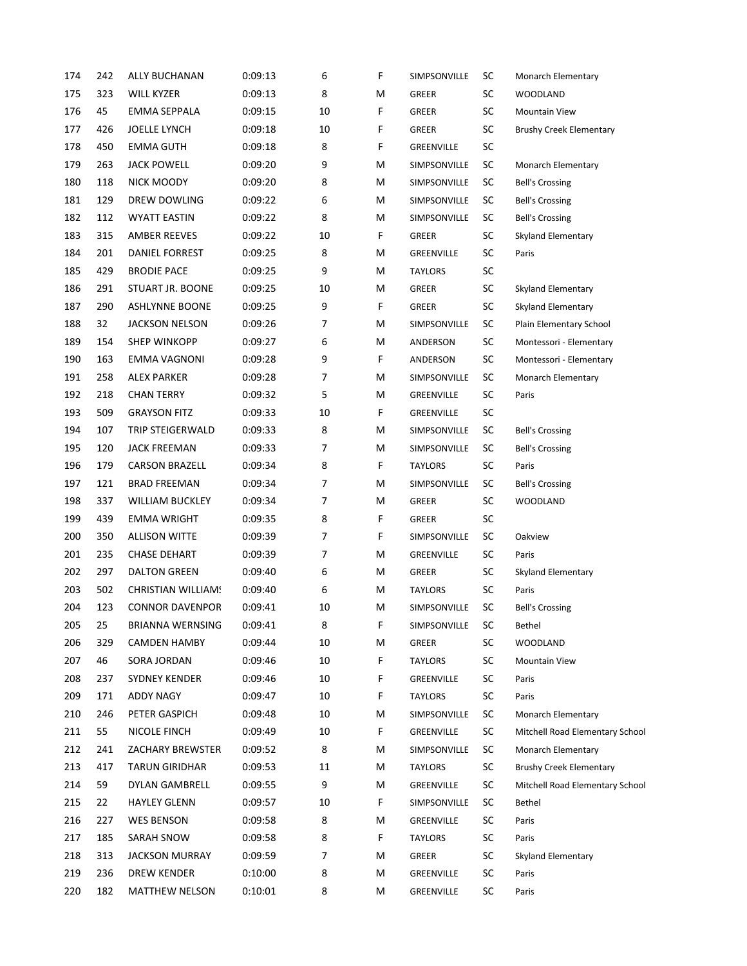| 174 | 242 | <b>ALLY BUCHANAN</b>      | 0:09:13 | 6  | F | SIMPSONVILLE   | SC        | Monarch Elementary              |
|-----|-----|---------------------------|---------|----|---|----------------|-----------|---------------------------------|
| 175 | 323 | WILL KYZER                | 0:09:13 | 8  | M | GREER          | SC        | <b>WOODLAND</b>                 |
| 176 | 45  | <b>EMMA SEPPALA</b>       | 0:09:15 | 10 | F | <b>GREER</b>   | SC        | <b>Mountain View</b>            |
| 177 | 426 | JOELLE LYNCH              | 0:09:18 | 10 | F | <b>GREER</b>   | SC        | <b>Brushy Creek Elementary</b>  |
| 178 | 450 | <b>EMMA GUTH</b>          | 0:09:18 | 8  | F | GREENVILLE     | <b>SC</b> |                                 |
| 179 | 263 | <b>JACK POWELL</b>        | 0:09:20 | 9  | M | SIMPSONVILLE   | <b>SC</b> | <b>Monarch Elementary</b>       |
| 180 | 118 | NICK MOODY                | 0:09:20 | 8  | м | SIMPSONVILLE   | <b>SC</b> | <b>Bell's Crossing</b>          |
| 181 | 129 | DREW DOWLING              | 0:09:22 | 6  | M | SIMPSONVILLE   | SC        | <b>Bell's Crossing</b>          |
| 182 | 112 | <b>WYATT EASTIN</b>       | 0:09:22 | 8  | M | SIMPSONVILLE   | SC        | <b>Bell's Crossing</b>          |
| 183 | 315 | AMBER REEVES              | 0:09:22 | 10 | F | <b>GREER</b>   | <b>SC</b> | Skyland Elementary              |
| 184 | 201 | DANIEL FORREST            | 0:09:25 | 8  | M | GREENVILLE     | <b>SC</b> | Paris                           |
| 185 | 429 | <b>BRODIE PACE</b>        | 0:09:25 | 9  | м | <b>TAYLORS</b> | <b>SC</b> |                                 |
| 186 | 291 | STUART JR. BOONE          | 0:09:25 | 10 | м | GREER          | <b>SC</b> | Skyland Elementary              |
| 187 | 290 | <b>ASHLYNNE BOONE</b>     | 0:09:25 | 9  | F | <b>GREER</b>   | <b>SC</b> | Skyland Elementary              |
| 188 | 32  | <b>JACKSON NELSON</b>     | 0:09:26 | 7  | M | SIMPSONVILLE   | <b>SC</b> | Plain Elementary School         |
| 189 | 154 | <b>SHEP WINKOPP</b>       | 0:09:27 | 6  | м | ANDERSON       | <b>SC</b> | Montessori - Elementary         |
| 190 | 163 | EMMA VAGNONI              | 0:09:28 | 9  | F | ANDERSON       | SC        | Montessori - Elementary         |
| 191 | 258 | ALEX PARKER               | 0:09:28 | 7  | M | SIMPSONVILLE   | SC        | Monarch Elementary              |
| 192 | 218 | <b>CHAN TERRY</b>         | 0:09:32 | 5  | м | GREENVILLE     | <b>SC</b> | Paris                           |
| 193 | 509 | <b>GRAYSON FITZ</b>       | 0:09:33 | 10 | F | GREENVILLE     | SC        |                                 |
| 194 | 107 | TRIP STEIGERWALD          | 0:09:33 | 8  | м | SIMPSONVILLE   | <b>SC</b> | <b>Bell's Crossing</b>          |
| 195 | 120 | <b>JACK FREEMAN</b>       | 0:09:33 | 7  | M | SIMPSONVILLE   | <b>SC</b> | <b>Bell's Crossing</b>          |
| 196 | 179 | <b>CARSON BRAZELL</b>     | 0:09:34 | 8  | F | <b>TAYLORS</b> | SC        | Paris                           |
| 197 | 121 | <b>BRAD FREEMAN</b>       | 0:09:34 | 7  | M | SIMPSONVILLE   | SC        | <b>Bell's Crossing</b>          |
| 198 | 337 | <b>WILLIAM BUCKLEY</b>    | 0:09:34 | 7  | м | <b>GREER</b>   | <b>SC</b> | WOODLAND                        |
| 199 | 439 | EMMA WRIGHT               | 0:09:35 | 8  | F | <b>GREER</b>   | SC        |                                 |
| 200 | 350 | <b>ALLISON WITTE</b>      | 0:09:39 | 7  | F | SIMPSONVILLE   | <b>SC</b> | Oakview                         |
| 201 | 235 | <b>CHASE DEHART</b>       | 0:09:39 | 7  | м | GREENVILLE     | <b>SC</b> | Paris                           |
| 202 | 297 | <b>DALTON GREEN</b>       | 0:09:40 | 6  | м | <b>GREER</b>   | <b>SC</b> | <b>Skyland Elementary</b>       |
| 203 | 502 | <b>CHRISTIAN WILLIAM!</b> | 0:09:40 | 6  | M | <b>TAYLORS</b> | <b>SC</b> | Paris                           |
| 204 | 123 | <b>CONNOR DAVENPOR</b>    | 0:09:41 | 10 | М | SIMPSONVILLE   | SC        | <b>Bell's Crossing</b>          |
| 205 | 25  | BRIANNA WERNSING          | 0:09:41 | 8  | F | SIMPSONVILLE   | SC        | Bethel                          |
| 206 | 329 | <b>CAMDEN HAMBY</b>       | 0:09:44 | 10 | м | GREER          | <b>SC</b> | <b>WOODLAND</b>                 |
| 207 | 46  | SORA JORDAN               | 0:09:46 | 10 | F | TAYLORS        | <b>SC</b> | Mountain View                   |
| 208 | 237 | SYDNEY KENDER             | 0:09:46 | 10 | F | GREENVILLE     | SC        | Paris                           |
| 209 | 171 | <b>ADDY NAGY</b>          | 0:09:47 | 10 | F | <b>TAYLORS</b> | <b>SC</b> | Paris                           |
| 210 | 246 | PETER GASPICH             | 0:09:48 | 10 | м | SIMPSONVILLE   | <b>SC</b> | Monarch Elementary              |
| 211 | 55  | NICOLE FINCH              | 0:09:49 | 10 | F | GREENVILLE     | SC        | Mitchell Road Elementary School |
| 212 | 241 | ZACHARY BREWSTER          | 0:09:52 | 8  | M | SIMPSONVILLE   | SC        | Monarch Elementary              |
| 213 | 417 | <b>TARUN GIRIDHAR</b>     | 0:09:53 | 11 | м | <b>TAYLORS</b> | <b>SC</b> | <b>Brushy Creek Elementary</b>  |
| 214 | 59  | DYLAN GAMBRELL            | 0:09:55 | 9  | м | GREENVILLE     | <b>SC</b> | Mitchell Road Elementary School |
| 215 | 22  | <b>HAYLEY GLENN</b>       | 0:09:57 | 10 | F | SIMPSONVILLE   | SC        | Bethel                          |
| 216 | 227 | <b>WES BENSON</b>         | 0:09:58 | 8  | м | GREENVILLE     | SC        | Paris                           |
| 217 | 185 | SARAH SNOW                | 0:09:58 | 8  | F | <b>TAYLORS</b> | <b>SC</b> | Paris                           |
| 218 | 313 | <b>JACKSON MURRAY</b>     | 0:09:59 | 7  | м | GREER          | <b>SC</b> | Skyland Elementary              |
| 219 | 236 | DREW KENDER               | 0:10:00 | 8  | м | GREENVILLE     | <b>SC</b> | Paris                           |
| 220 | 182 | MATTHEW NELSON            | 0:10:01 | 8  | м | GREENVILLE     | <b>SC</b> | Paris                           |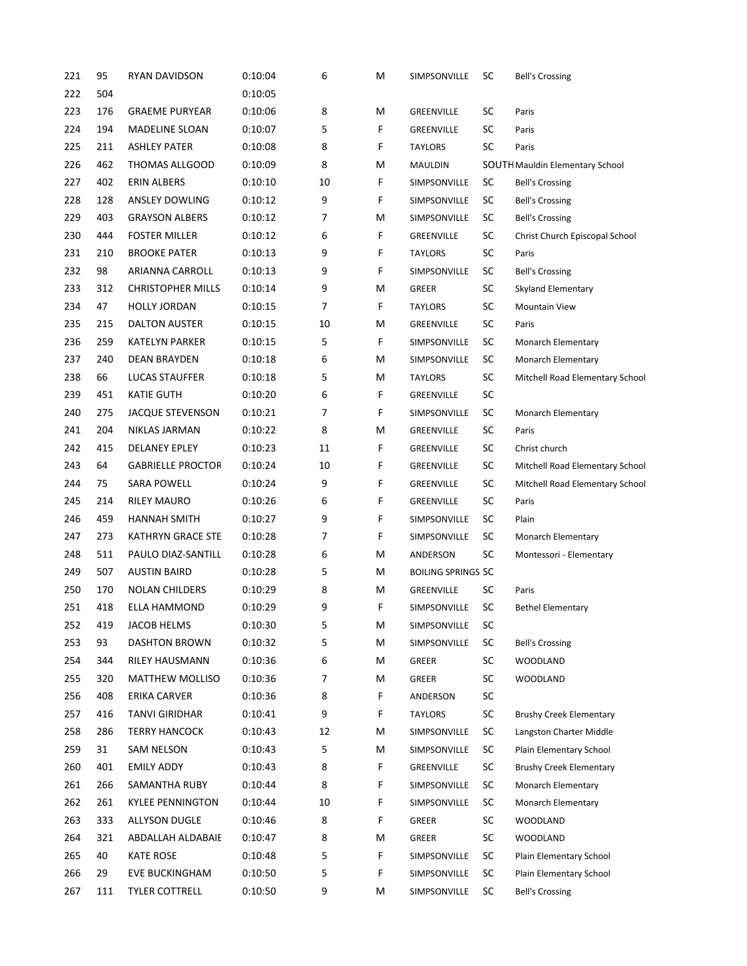| 221 | 95  | RYAN DAVIDSON            | 0:10:04 | 6              | M | SIMPSONVILLE              | SC        | <b>Bell's Crossing</b>          |
|-----|-----|--------------------------|---------|----------------|---|---------------------------|-----------|---------------------------------|
| 222 | 504 |                          | 0:10:05 |                |   |                           |           |                                 |
| 223 | 176 | <b>GRAEME PURYEAR</b>    | 0:10:06 | 8              | M | GREENVILLE                | SC        | Paris                           |
| 224 | 194 | <b>MADELINE SLOAN</b>    | 0:10:07 | 5              | F | GREENVILLE                | SC        | Paris                           |
| 225 | 211 | <b>ASHLEY PATER</b>      | 0:10:08 | 8              | F | <b>TAYLORS</b>            | SC        | Paris                           |
| 226 | 462 | THOMAS ALLGOOD           | 0:10:09 | 8              | M | MAULDIN                   |           | SOUTH Mauldin Elementary School |
| 227 | 402 | <b>ERIN ALBERS</b>       | 0:10:10 | 10             | F | SIMPSONVILLE              | SC        | <b>Bell's Crossing</b>          |
| 228 | 128 | ANSLEY DOWLING           | 0:10:12 | 9              | F | SIMPSONVILLE              | SC        | <b>Bell's Crossing</b>          |
| 229 | 403 | <b>GRAYSON ALBERS</b>    | 0:10:12 | 7              | M | SIMPSONVILLE              | SC        | <b>Bell's Crossing</b>          |
| 230 | 444 | <b>FOSTER MILLER</b>     | 0:10:12 | 6              | F | GREENVILLE                | SC        | Christ Church Episcopal School  |
| 231 | 210 | <b>BROOKE PATER</b>      | 0:10:13 | 9              | F | <b>TAYLORS</b>            | SC        | Paris                           |
| 232 | 98  | ARIANNA CARROLL          | 0:10:13 | 9              | F | SIMPSONVILLE              | SC        | <b>Bell's Crossing</b>          |
| 233 | 312 | <b>CHRISTOPHER MILLS</b> | 0:10:14 | 9              | M | <b>GREER</b>              | SC        | Skyland Elementary              |
| 234 | 47  | <b>HOLLY JORDAN</b>      | 0:10:15 | $\overline{7}$ | F | <b>TAYLORS</b>            | SC        | <b>Mountain View</b>            |
| 235 | 215 | DALTON AUSTER            | 0:10:15 | 10             | M | GREENVILLE                | SC        | Paris                           |
| 236 | 259 | KATELYN PARKER           | 0:10:15 | 5              | F | SIMPSONVILLE              | SC        | Monarch Elementary              |
| 237 | 240 | DEAN BRAYDEN             | 0:10:18 | 6              | M | SIMPSONVILLE              | SC        | Monarch Elementary              |
| 238 | 66  | <b>LUCAS STAUFFER</b>    | 0:10:18 | 5              | M | <b>TAYLORS</b>            | SC        | Mitchell Road Elementary School |
| 239 | 451 | <b>KATIE GUTH</b>        | 0:10:20 | 6              | F | GREENVILLE                | SC        |                                 |
| 240 | 275 | <b>JACQUE STEVENSON</b>  | 0:10:21 | 7              | F | SIMPSONVILLE              | SC        | Monarch Elementary              |
| 241 | 204 | NIKLAS JARMAN            | 0:10:22 | 8              | M | GREENVILLE                | SC        | Paris                           |
| 242 | 415 | <b>DELANEY EPLEY</b>     | 0:10:23 | 11             | F | GREENVILLE                | SC        | Christ church                   |
| 243 | 64  | <b>GABRIELLE PROCTOR</b> | 0:10:24 | 10             | F | GREENVILLE                | SC        | Mitchell Road Elementary School |
| 244 | 75  | <b>SARA POWELL</b>       | 0:10:24 | 9              | F | GREENVILLE                | SC        | Mitchell Road Elementary School |
| 245 | 214 | <b>RILEY MAURO</b>       | 0:10:26 | 6              | F | GREENVILLE                | SC        | Paris                           |
| 246 | 459 | <b>HANNAH SMITH</b>      | 0:10:27 | 9              | F | SIMPSONVILLE              | SC        | Plain                           |
| 247 | 273 | KATHRYN GRACE STE        | 0:10:28 | 7              | F | SIMPSONVILLE              | SC        | Monarch Elementary              |
| 248 | 511 | PAULO DIAZ-SANTILL       | 0:10:28 | 6              | M | ANDERSON                  | SC        | Montessori - Elementary         |
| 249 | 507 | <b>AUSTIN BAIRD</b>      | 0:10:28 | 5              | M | <b>BOILING SPRINGS SC</b> |           |                                 |
| 250 | 170 | <b>NOLAN CHILDERS</b>    | 0:10:29 | 8              | M | GREENVILLE                | SC        | Paris                           |
| 251 | 418 | ELLA HAMMOND             | 0:10:29 | 9              | F | SIMPSONVILLE              | SC        | <b>Bethel Elementary</b>        |
| 252 | 419 | <b>JACOB HELMS</b>       | 0:10:30 | 5              | M | SIMPSONVILLE              | SC        |                                 |
| 253 | 93  | <b>DASHTON BROWN</b>     | 0:10:32 | 5              | M | SIMPSONVILLE              | SC        | <b>Bell's Crossing</b>          |
| 254 | 344 | RILEY HAUSMANN           | 0:10:36 | 6              | M | GREER                     | SC        | <b>WOODLAND</b>                 |
| 255 | 320 | MATTHEW MOLLISO          | 0:10:36 | 7              | M | GREER                     | SC        | <b>WOODLAND</b>                 |
| 256 | 408 | ERIKA CARVER             | 0:10:36 | 8              | F | ANDERSON                  | SC        |                                 |
| 257 | 416 | <b>TANVI GIRIDHAR</b>    | 0:10:41 | 9              | F | <b>TAYLORS</b>            | SC        | <b>Brushy Creek Elementary</b>  |
| 258 | 286 | <b>TERRY HANCOCK</b>     | 0:10:43 | 12             | M | SIMPSONVILLE              | SC        | Langston Charter Middle         |
| 259 | 31  | SAM NELSON               | 0:10:43 | 5              | м | SIMPSONVILLE              | SC        | Plain Elementary School         |
| 260 | 401 | <b>EMILY ADDY</b>        | 0:10:43 | 8              | F | GREENVILLE                | SC        | <b>Brushy Creek Elementary</b>  |
| 261 | 266 | SAMANTHA RUBY            | 0:10:44 | 8              | F | SIMPSONVILLE              | SC        | Monarch Elementary              |
| 262 | 261 | <b>KYLEE PENNINGTON</b>  | 0:10:44 | 10             | F | SIMPSONVILLE              | SC        | Monarch Elementary              |
| 263 | 333 | <b>ALLYSON DUGLE</b>     | 0:10:46 | 8              | F | GREER                     | SC        | <b>WOODLAND</b>                 |
| 264 | 321 | ABDALLAH ALDABAIE        | 0:10:47 | 8              | M | GREER                     | SC        | <b>WOODLAND</b>                 |
| 265 | 40  | <b>KATE ROSE</b>         | 0:10:48 | 5              | F | SIMPSONVILLE              | SC        | Plain Elementary School         |
| 266 | 29  | EVE BUCKINGHAM           | 0:10:50 | 5              | F | SIMPSONVILLE              | SC        | Plain Elementary School         |
| 267 | 111 | TYLER COTTRELL           | 0:10:50 | 9              | м | SIMPSONVILLE              | <b>SC</b> | <b>Bell's Crossing</b>          |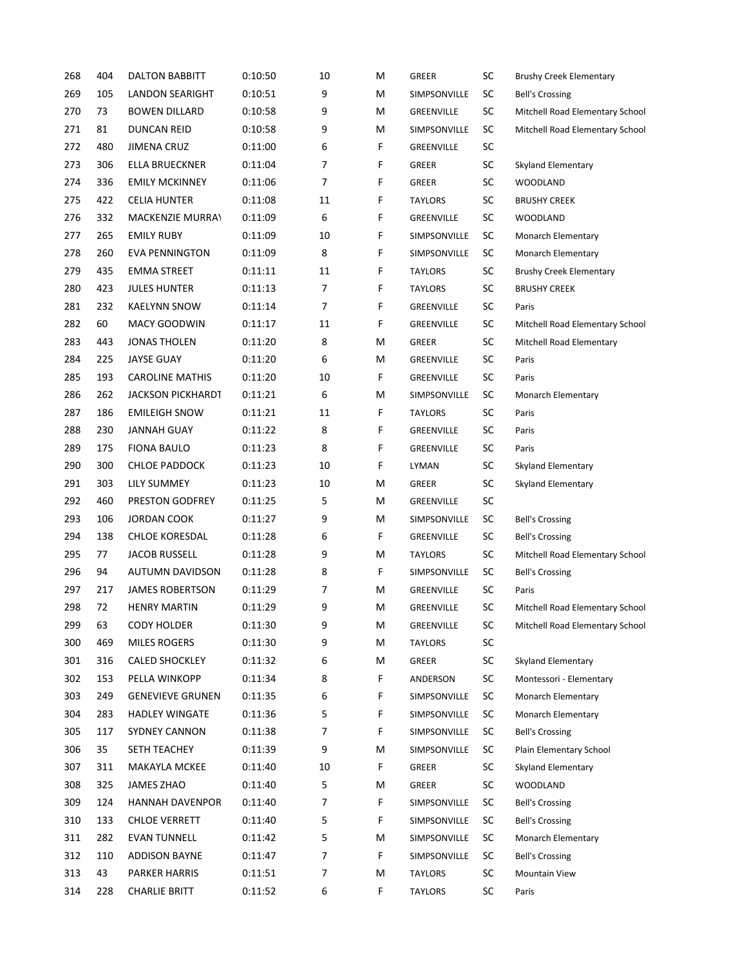| 268 | 404 | <b>DALTON BABBITT</b>   | 0:10:50 | 10 | M | <b>GREER</b>      | SC         | <b>Brushy Creek Elementary</b>  |
|-----|-----|-------------------------|---------|----|---|-------------------|------------|---------------------------------|
| 269 | 105 | <b>LANDON SEARIGHT</b>  | 0:10:51 | 9  | M | SIMPSONVILLE      | SC         | <b>Bell's Crossing</b>          |
| 270 | 73  | <b>BOWEN DILLARD</b>    | 0:10:58 | 9  | M | GREENVILLE        | SC         | Mitchell Road Elementary School |
| 271 | 81  | <b>DUNCAN REID</b>      | 0:10:58 | 9  | M | SIMPSONVILLE      | SC         | Mitchell Road Elementary School |
| 272 | 480 | <b>JIMENA CRUZ</b>      | 0:11:00 | 6  | F | GREENVILLE        | SC         |                                 |
| 273 | 306 | ELLA BRUECKNER          | 0:11:04 | 7  | F | <b>GREER</b>      | SC         | Skyland Elementary              |
| 274 | 336 | <b>EMILY MCKINNEY</b>   | 0:11:06 | 7  | F | <b>GREER</b>      | SC         | <b>WOODLAND</b>                 |
| 275 | 422 | <b>CELIA HUNTER</b>     | 0:11:08 | 11 | F | <b>TAYLORS</b>    | SC         | <b>BRUSHY CREEK</b>             |
| 276 | 332 | <b>MACKENZIE MURRAY</b> | 0:11:09 | 6  | F | GREENVILLE        | SC         | <b>WOODLAND</b>                 |
| 277 | 265 | <b>EMILY RUBY</b>       | 0:11:09 | 10 | F | SIMPSONVILLE      | <b>SC</b>  | Monarch Elementary              |
| 278 | 260 | <b>EVA PENNINGTON</b>   | 0:11:09 | 8  | F | SIMPSONVILLE      | SC         | Monarch Elementary              |
| 279 | 435 | <b>EMMA STREET</b>      | 0:11:11 | 11 | F | <b>TAYLORS</b>    | SC         | <b>Brushy Creek Elementary</b>  |
| 280 | 423 | <b>JULES HUNTER</b>     | 0:11:13 | 7  | F | <b>TAYLORS</b>    | SC         | <b>BRUSHY CREEK</b>             |
| 281 | 232 | <b>KAELYNN SNOW</b>     | 0:11:14 | 7  | F | GREENVILLE        | SC         | Paris                           |
| 282 | 60  | <b>MACY GOODWIN</b>     | 0:11:17 | 11 | F | <b>GREENVILLE</b> | SC         | Mitchell Road Elementary School |
| 283 | 443 | JONAS THOLEN            | 0:11:20 | 8  | M | <b>GREER</b>      | ${\sf SC}$ | Mitchell Road Elementary        |
| 284 | 225 | <b>JAYSE GUAY</b>       | 0:11:20 | 6  | M | GREENVILLE        | SC         | Paris                           |
| 285 | 193 | <b>CAROLINE MATHIS</b>  | 0:11:20 | 10 | F | GREENVILLE        | SC         | Paris                           |
| 286 | 262 | JACKSON PICKHARDT       | 0:11:21 | 6  | м | SIMPSONVILLE      | SC         | Monarch Elementary              |
| 287 | 186 | <b>EMILEIGH SNOW</b>    | 0:11:21 | 11 | F | <b>TAYLORS</b>    | SC         | Paris                           |
| 288 | 230 | JANNAH GUAY             | 0:11:22 | 8  | F | GREENVILLE        | SC         | Paris                           |
| 289 | 175 | FIONA BAULO             | 0:11:23 | 8  | F | GREENVILLE        | SC         | Paris                           |
| 290 | 300 | <b>CHLOE PADDOCK</b>    | 0:11:23 | 10 | F | LYMAN             | SC         | Skyland Elementary              |
| 291 | 303 | LILY SUMMEY             | 0:11:23 | 10 | M | <b>GREER</b>      | SC         | Skyland Elementary              |
| 292 | 460 | PRESTON GODFREY         | 0:11:25 | 5  | M | GREENVILLE        | SC         |                                 |
| 293 | 106 | JORDAN COOK             | 0:11:27 | 9  | M | SIMPSONVILLE      | SC         | <b>Bell's Crossing</b>          |
| 294 | 138 | <b>CHLOE KORESDAL</b>   | 0:11:28 | 6  | F | GREENVILLE        | SC         | <b>Bell's Crossing</b>          |
| 295 | 77  | <b>JACOB RUSSELL</b>    | 0:11:28 | 9  | M | <b>TAYLORS</b>    | SC         | Mitchell Road Elementary School |
| 296 | 94  | <b>AUTUMN DAVIDSON</b>  | 0:11:28 | 8  | F | SIMPSONVILLE      | SC         | <b>Bell's Crossing</b>          |
| 297 | 217 | <b>JAMES ROBERTSON</b>  | 0:11:29 | 7  | M | GREENVILLE        | SC         | Paris                           |
| 298 | 72  | <b>HENRY MARTIN</b>     | 0:11:29 | 9  | M | GREENVILLE        | SC         | Mitchell Road Elementary School |
| 299 | 63  | <b>CODY HOLDER</b>      | 0:11:30 | 9  | M | GREENVILLE        | SC         | Mitchell Road Elementary School |
| 300 | 469 | <b>MILES ROGERS</b>     | 0:11:30 | 9  | м | <b>TAYLORS</b>    | ${\sf SC}$ |                                 |
| 301 | 316 | <b>CALED SHOCKLEY</b>   | 0:11:32 | 6  | м | GREER             | ${\sf SC}$ | <b>Skyland Elementary</b>       |
| 302 | 153 | PELLA WINKOPP           | 0:11:34 | 8  | F | ANDERSON          | SC         | Montessori - Elementary         |
| 303 | 249 | <b>GENEVIEVE GRUNEN</b> | 0:11:35 | 6  | F | SIMPSONVILLE      | <b>SC</b>  | Monarch Elementary              |
| 304 | 283 | <b>HADLEY WINGATE</b>   | 0:11:36 | 5  | F | SIMPSONVILLE      | SC         | Monarch Elementary              |
| 305 | 117 | <b>SYDNEY CANNON</b>    | 0:11:38 | 7  | F | SIMPSONVILLE      | SC         | <b>Bell's Crossing</b>          |
| 306 | 35  | SETH TEACHEY            | 0:11:39 | 9  | M | SIMPSONVILLE      | SC         | Plain Elementary School         |
| 307 | 311 | <b>MAKAYLA MCKEE</b>    | 0:11:40 | 10 | F | <b>GREER</b>      | SC         | <b>Skyland Elementary</b>       |
| 308 | 325 | JAMES ZHAO              | 0:11:40 | 5  | M | GREER             | ${\sf SC}$ | <b>WOODLAND</b>                 |
| 309 | 124 | HANNAH DAVENPOR         | 0:11:40 | 7  | F | SIMPSONVILLE      | SC         | <b>Bell's Crossing</b>          |
| 310 | 133 | <b>CHLOE VERRETT</b>    | 0:11:40 | 5  | F | SIMPSONVILLE      | SC         | <b>Bell's Crossing</b>          |
| 311 | 282 | <b>EVAN TUNNELL</b>     | 0:11:42 | 5  | M | SIMPSONVILLE      | SC         | Monarch Elementary              |
| 312 | 110 | <b>ADDISON BAYNE</b>    | 0:11:47 | 7  | F | SIMPSONVILLE      | SC         | <b>Bell's Crossing</b>          |
| 313 | 43  | <b>PARKER HARRIS</b>    | 0:11:51 | 7  | M | <b>TAYLORS</b>    | SC         | Mountain View                   |
| 314 | 228 | <b>CHARLIE BRITT</b>    | 0:11:52 | 6  | F | <b>TAYLORS</b>    | SC         | Paris                           |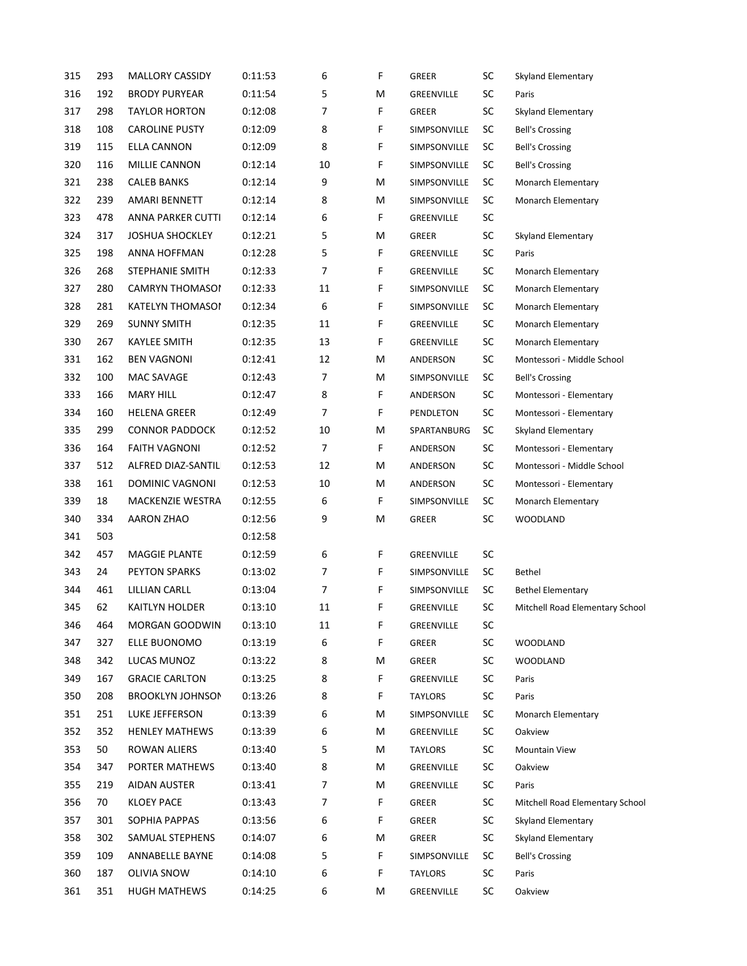| 315 | 293 | MALLORY CASSIDY         | 0:11:53 | 6              | F | <b>GREER</b>   | <b>SC</b>  | Skyland Elementary              |
|-----|-----|-------------------------|---------|----------------|---|----------------|------------|---------------------------------|
| 316 | 192 | BRODY PURYEAR           | 0:11:54 | 5              | M | GREENVILLE     | SC         | Paris                           |
| 317 | 298 | <b>TAYLOR HORTON</b>    | 0:12:08 | $\overline{7}$ | F | <b>GREER</b>   | SC         | Skyland Elementary              |
| 318 | 108 | <b>CAROLINE PUSTY</b>   | 0:12:09 | 8              | F | SIMPSONVILLE   | <b>SC</b>  | <b>Bell's Crossing</b>          |
| 319 | 115 | ELLA CANNON             | 0:12:09 | 8              | F | SIMPSONVILLE   | SC         | <b>Bell's Crossing</b>          |
| 320 | 116 | MILLIE CANNON           | 0:12:14 | 10             | F | SIMPSONVILLE   | <b>SC</b>  | <b>Bell's Crossing</b>          |
| 321 | 238 | <b>CALEB BANKS</b>      | 0:12:14 | 9              | M | SIMPSONVILLE   | <b>SC</b>  | Monarch Elementary              |
| 322 | 239 | <b>AMARI BENNETT</b>    | 0:12:14 | 8              | M | SIMPSONVILLE   | <b>SC</b>  | Monarch Elementary              |
| 323 | 478 | ANNA PARKER CUTTI       | 0:12:14 | 6              | F | GREENVILLE     | <b>SC</b>  |                                 |
| 324 | 317 | <b>JOSHUA SHOCKLEY</b>  | 0:12:21 | 5              | M | <b>GREER</b>   | <b>SC</b>  | Skyland Elementary              |
| 325 | 198 | ANNA HOFFMAN            | 0:12:28 | 5              | F | GREENVILLE     | SC         | Paris                           |
| 326 | 268 | STEPHANIE SMITH         | 0:12:33 | $\overline{7}$ | F | GREENVILLE     | <b>SC</b>  | Monarch Elementary              |
| 327 | 280 | CAMRYN THOMASOI         | 0:12:33 | 11             | F | SIMPSONVILLE   | SC         | Monarch Elementary              |
| 328 | 281 | KATELYN THOMASOI        | 0:12:34 | 6              | F | SIMPSONVILLE   | <b>SC</b>  | Monarch Elementary              |
| 329 | 269 | <b>SUNNY SMITH</b>      | 0:12:35 | 11             | F | GREENVILLE     | <b>SC</b>  | Monarch Elementary              |
| 330 | 267 | KAYLEE SMITH            | 0:12:35 | 13             | F | GREENVILLE     | SC         | Monarch Elementary              |
| 331 | 162 | BEN VAGNONI             | 0:12:41 | 12             | M | ANDERSON       | <b>SC</b>  | Montessori - Middle School      |
| 332 | 100 | MAC SAVAGE              | 0:12:43 | 7              | M | SIMPSONVILLE   | SC         | <b>Bell's Crossing</b>          |
| 333 | 166 | MARY HILL               | 0:12:47 | 8              | F | ANDERSON       | <b>SC</b>  | Montessori - Elementary         |
| 334 | 160 | <b>HELENA GREER</b>     | 0:12:49 | 7              | F | PENDLETON      | <b>SC</b>  | Montessori - Elementary         |
| 335 | 299 | <b>CONNOR PADDOCK</b>   | 0:12:52 | 10             | M | SPARTANBURG    | <b>SC</b>  | Skyland Elementary              |
| 336 | 164 | <b>FAITH VAGNONI</b>    | 0:12:52 | $\overline{7}$ | F | ANDERSON       | <b>SC</b>  | Montessori - Elementary         |
| 337 | 512 | ALFRED DIAZ-SANTILI     | 0:12:53 | 12             | M | ANDERSON       | <b>SC</b>  | Montessori - Middle School      |
| 338 | 161 | DOMINIC VAGNONI         | 0:12:53 | 10             | M | ANDERSON       | <b>SC</b>  | Montessori - Elementary         |
| 339 | 18  | MACKENZIE WESTRA        | 0:12:55 | 6              | F | SIMPSONVILLE   | <b>SC</b>  | <b>Monarch Elementary</b>       |
| 340 | 334 | AARON ZHAO              | 0:12:56 | 9              | M | GREER          | <b>SC</b>  | WOODLAND                        |
| 341 | 503 |                         | 0:12:58 |                |   |                |            |                                 |
| 342 | 457 | <b>MAGGIE PLANTE</b>    | 0:12:59 | 6              | F | GREENVILLE     | SC         |                                 |
| 343 | 24  | <b>PEYTON SPARKS</b>    | 0:13:02 | 7              | F | SIMPSONVILLE   | <b>SC</b>  | Bethel                          |
| 344 | 461 | LILLIAN CARLL           | 0:13:04 | 7              | F | SIMPSONVILLE   | <b>SC</b>  | <b>Bethel Elementary</b>        |
| 345 | 62  | KAITLYN HOLDER          | 0:13:10 | 11             | F | GREENVILLE     | <b>SC</b>  | Mitchell Road Elementary School |
| 346 | 464 | <b>MORGAN GOODWIN</b>   | 0:13:10 | 11             | F | GREENVILLE     | <b>SC</b>  |                                 |
| 347 | 327 | ELLE BUONOMO            | 0:13:19 | 6              | F | GREER          | ${\sf SC}$ | <b>WOODLAND</b>                 |
| 348 | 342 | LUCAS MUNOZ             | 0:13:22 | 8              | м | GREER          | <b>SC</b>  | <b>WOODLAND</b>                 |
| 349 | 167 | <b>GRACIE CARLTON</b>   | 0:13:25 | 8              | F | GREENVILLE     | <b>SC</b>  | Paris                           |
| 350 | 208 | <b>BROOKLYN JOHNSON</b> | 0:13:26 | 8              | F | <b>TAYLORS</b> | <b>SC</b>  | Paris                           |
| 351 | 251 | LUKE JEFFERSON          | 0:13:39 | 6              | м | SIMPSONVILLE   | <b>SC</b>  | Monarch Elementary              |
| 352 | 352 | <b>HENLEY MATHEWS</b>   | 0:13:39 | 6              | М | GREENVILLE     | SC         | Oakview                         |
| 353 | 50  | ROWAN ALIERS            | 0:13:40 | 5              | М | TAYLORS        | <b>SC</b>  | Mountain View                   |
| 354 | 347 | PORTER MATHEWS          | 0:13:40 | 8              | M | GREENVILLE     | <b>SC</b>  | Oakview                         |
| 355 | 219 | AIDAN AUSTER            | 0:13:41 | 7              | м | GREENVILLE     | <b>SC</b>  | Paris                           |
| 356 | 70  | <b>KLOEY PACE</b>       | 0:13:43 | 7              | F | GREER          | SC         | Mitchell Road Elementary School |
| 357 | 301 | SOPHIA PAPPAS           | 0:13:56 | 6              | F | GREER          | SC         | <b>Skyland Elementary</b>       |
| 358 | 302 | SAMUAL STEPHENS         | 0:14:07 | 6              | м | GREER          | <b>SC</b>  | Skyland Elementary              |
| 359 | 109 | ANNABELLE BAYNE         | 0:14:08 | 5              | F | SIMPSONVILLE   | <b>SC</b>  | <b>Bell's Crossing</b>          |
| 360 | 187 | OLIVIA SNOW             | 0:14:10 | 6              | F | <b>TAYLORS</b> | <b>SC</b>  | Paris                           |
| 361 | 351 | <b>HUGH MATHEWS</b>     | 0:14:25 | 6              | M | GREENVILLE     | <b>SC</b>  | Oakview                         |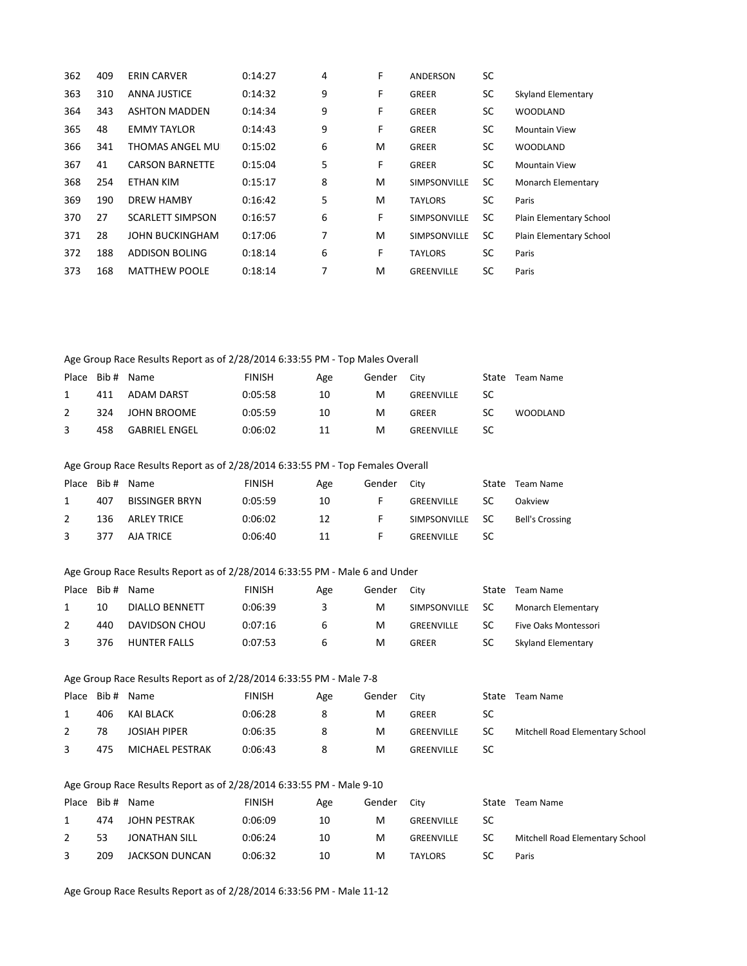| 362 | 409 | <b>ERIN CARVER</b>      | 0:14:27 | 4 | F | <b>ANDERSON</b>     | SC        |                           |
|-----|-----|-------------------------|---------|---|---|---------------------|-----------|---------------------------|
| 363 | 310 | <b>ANNA JUSTICE</b>     | 0:14:32 | 9 | F | <b>GREER</b>        | SC        | Skyland Elementary        |
| 364 | 343 | <b>ASHTON MADDEN</b>    | 0:14:34 | 9 | F | <b>GREER</b>        | SC        | <b>WOODLAND</b>           |
| 365 | 48  | <b>EMMY TAYLOR</b>      | 0:14:43 | 9 | F | <b>GREER</b>        | <b>SC</b> | <b>Mountain View</b>      |
| 366 | 341 | <b>THOMAS ANGEL MU</b>  | 0:15:02 | 6 | M | <b>GREER</b>        | SC        | <b>WOODLAND</b>           |
| 367 | 41  | <b>CARSON BARNETTE</b>  | 0:15:04 | 5 | F | <b>GREER</b>        | SC.       | <b>Mountain View</b>      |
| 368 | 254 | ETHAN KIM               | 0:15:17 | 8 | M | <b>SIMPSONVILLE</b> | <b>SC</b> | <b>Monarch Elementary</b> |
| 369 | 190 | <b>DREW HAMBY</b>       | 0:16:42 | 5 | M | <b>TAYLORS</b>      | SC.       | Paris                     |
| 370 | 27  | <b>SCARLETT SIMPSON</b> | 0:16:57 | 6 | F | <b>SIMPSONVILLE</b> | SC.       | Plain Elementary School   |
| 371 | 28  | <b>JOHN BUCKINGHAM</b>  | 0:17:06 | 7 | M | <b>SIMPSONVILLE</b> | SC.       | Plain Elementary School   |
| 372 | 188 | ADDISON BOLING          | 0:18:14 | 6 | F | <b>TAYLORS</b>      | SC        | Paris                     |
| 373 | 168 | <b>MATTHEW POOLE</b>    | 0:18:14 | 7 | M | <b>GREENVILLE</b>   | SC        | Paris                     |
|     |     |                         |         |   |   |                     |           |                           |

### Age Group Race Results Report as of 2/28/2014 6:33:55 PM - Top Males Overall

|               |     | Place Bib# Name      | <b>FINISH</b> | Age | Gender City |            | State | Team Name |
|---------------|-----|----------------------|---------------|-----|-------------|------------|-------|-----------|
|               | 411 | ADAM DARST           | 0:05:58       | 10  | м           | GREENVILLE | SC    |           |
| $\mathcal{P}$ | 324 | JOHN BROOME          | 0:05:59       | 10  | м           | GREER      | SC    | WOODLAND  |
| 3             | 458 | <b>GABRIEL ENGEL</b> | 0:06:02       | 11  | м           | GREENVILLE | SC    |           |

#### Age Group Race Results Report as of 2/28/2014 6:33:55 PM - Top Females Overall

|              |     | Place Bib# Name       | <b>FINISH</b> | Age | Gender   | City            |    | State Team Name |
|--------------|-----|-----------------------|---------------|-----|----------|-----------------|----|-----------------|
|              | 407 | <b>BISSINGER BRYN</b> | 0:05:59       | 10  |          | GREENVILLE      | SC | Oakview         |
| 2            | 136 | ARLEY TRICE           | 0:06:02       | 12  | <b>F</b> | SIMPSONVILLE SC |    | Bell's Crossing |
| $\mathbf{3}$ | 377 | AJA TRICE             | 0:06:40       | -11 |          | GREENVILLE      | SC |                 |

#### Age Group Race Results Report as of 2/28/2014 6:33:55 PM - Male 6 and Under

| Place |     | Bib # Name          | <b>FINISH</b> | Age | Gender | City            |    | State Team Name      |
|-------|-----|---------------------|---------------|-----|--------|-----------------|----|----------------------|
|       | 10  | DIALLO BENNETT      | 0:06:39       | 3.  | M      | SIMPSONVILLE SC |    | Monarch Elementary   |
|       | 440 | DAVIDSON CHOU       | 0:07:16       | 6   | м      | GREENVILLE      | SC | Five Oaks Montessori |
|       | 376 | <b>HUNTER FALLS</b> | 0:07:53       | b   | M      | GREER           | SC | Skyland Elementary   |

#### Age Group Race Results Report as of 2/28/2014 6:33:55 PM - Male 7-8

|   |     | Place Bib# Name     | <b>FINISH</b> | Age | Gender | <b>City</b> | State | Team Name                       |
|---|-----|---------------------|---------------|-----|--------|-------------|-------|---------------------------------|
|   | 406 | KAI BLACK           | 0:06:28       | 8   | м      | GREER       | SC    |                                 |
| 2 | 78  | <b>JOSIAH PIPER</b> | 0:06:35       | 8   | M      | GREENVILLE  | -SC   | Mitchell Road Elementary School |
| 3 | 475 | MICHAEL PESTRAK     | 0:06:43       | 8   | M      | GREENVILLE  | -SC   |                                 |

### Age Group Race Results Report as of 2/28/2014 6:33:55 PM - Male 9-10

|     | Place Bib# Name | <b>FINISH</b> | Age | Gender | City           | State | Team Name                       |
|-----|-----------------|---------------|-----|--------|----------------|-------|---------------------------------|
| 474 | JOHN PESTRAK    | 0:06:09       | 10  | M      | GREENVILLE     | SC    |                                 |
| 53  | JONATHAN SILL   | 0:06:24       | 10  | M      | GREENVILLE     | SC    | Mitchell Road Elementary School |
| 209 | JACKSON DUNCAN  | 0:06:32       | 10  | M      | <b>TAYLORS</b> | SC    | Paris                           |

Age Group Race Results Report as of 2/28/2014 6:33:56 PM - Male 11-12